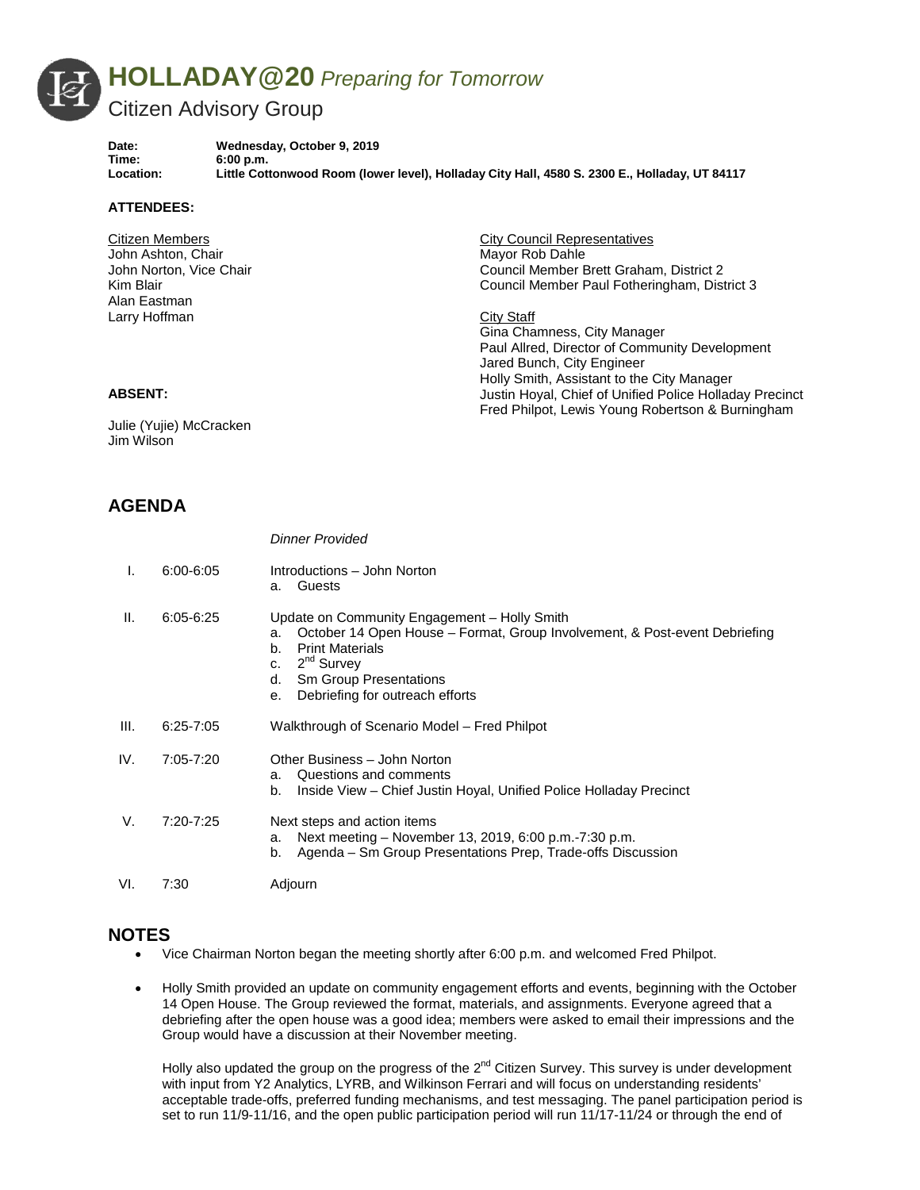

**Date: Wednesday, October 9, 2019** Time: 6:00 p.m.<br>
Location: Little Cott **Location: Little Cottonwood Room (lower level), Holladay City Hall, 4580 S. 2300 E., Holladay, UT 84117**

### **ATTENDEES:**

| Citizen Members         | <b>City Council Representatives</b>                     |
|-------------------------|---------------------------------------------------------|
| John Ashton, Chair      | Mayor Rob Dahle                                         |
| John Norton, Vice Chair | Council Member Brett Graham, District 2                 |
| Kim Blair               | Council Member Paul Fotheringham, District 3            |
| Alan Eastman            |                                                         |
| Larry Hoffman           | City Staff                                              |
|                         | Gina Chamness, City Manager                             |
|                         | Paul Allred, Director of Community Development          |
|                         | Jared Bunch, City Engineer                              |
|                         | Holly Smith, Assistant to the City Manager              |
| <b>ABSENT:</b>          | Justin Hoyal, Chief of Unified Police Holladay Precinct |

Fred Philpot, Lewis Young Robertson & Burningham

#### **ABSENT:**

Julie (Yujie) McCracken Jim Wilson

# **AGENDA**

|      |               | <b>Dinner Provided</b>                                                                                                                                                                                                                                          |
|------|---------------|-----------------------------------------------------------------------------------------------------------------------------------------------------------------------------------------------------------------------------------------------------------------|
| I.   | $6:00 - 6:05$ | Introductions - John Norton<br>Guests<br>a.                                                                                                                                                                                                                     |
| Ш.   | $6:05 - 6:25$ | Update on Community Engagement - Holly Smith<br>October 14 Open House - Format, Group Involvement, & Post-event Debriefing<br>a.<br><b>Print Materials</b><br>b.<br>$2nd$ Survey<br>c.<br>Sm Group Presentations<br>d.<br>Debriefing for outreach efforts<br>е. |
| III. | $6:25 - 7:05$ | Walkthrough of Scenario Model – Fred Philpot                                                                                                                                                                                                                    |
| IV.  | 7:05-7:20     | Other Business - John Norton<br>Questions and comments<br>a.<br>Inside View - Chief Justin Hoyal, Unified Police Holladay Precinct<br>b.                                                                                                                        |
| V.   | 7:20-7:25     | Next steps and action items<br>Next meeting – November 13, 2019, 6:00 p.m.-7:30 p.m.<br>a.<br>Agenda – Sm Group Presentations Prep, Trade-offs Discussion<br>b.                                                                                                 |
| VI.  | 7:30          | Adjourn                                                                                                                                                                                                                                                         |

# **NOTES**

- Vice Chairman Norton began the meeting shortly after 6:00 p.m. and welcomed Fred Philpot.
- Holly Smith provided an update on community engagement efforts and events, beginning with the October 14 Open House. The Group reviewed the format, materials, and assignments. Everyone agreed that a debriefing after the open house was a good idea; members were asked to email their impressions and the Group would have a discussion at their November meeting.

Holly also updated the group on the progress of the  $2^{nd}$  Citizen Survey. This survey is under development with input from Y2 Analytics, LYRB, and Wilkinson Ferrari and will focus on understanding residents' acceptable trade-offs, preferred funding mechanisms, and test messaging. The panel participation period is set to run 11/9-11/16, and the open public participation period will run 11/17-11/24 or through the end of